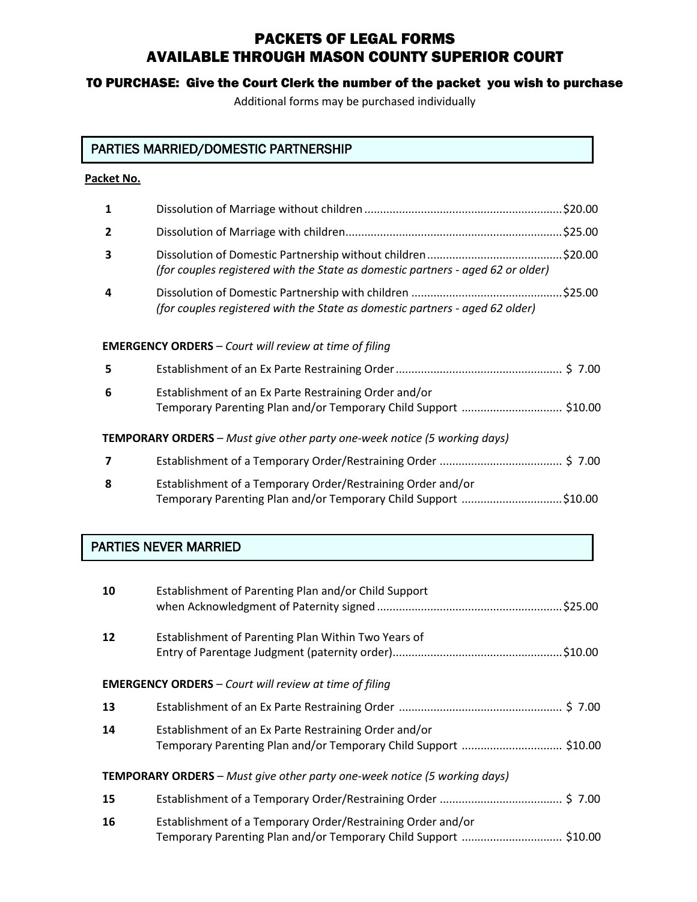# PACKETS OF LEGAL FORMS AVAILABLE THROUGH MASON COUNTY SUPERIOR COURT

### TO PURCHASE: Give the Court Clerk the number of the packet you wish to purchase

Additional forms may be purchased individually

# PARTIES MARRIED/DOMESTIC PARTNERSHIP

#### **Packet No.**

| 1                                                                                |                                                                                                                                |  |  |
|----------------------------------------------------------------------------------|--------------------------------------------------------------------------------------------------------------------------------|--|--|
| $\overline{2}$                                                                   |                                                                                                                                |  |  |
| 3                                                                                | (for couples registered with the State as domestic partners - aged 62 or older)                                                |  |  |
| 4                                                                                | .\$25.00<br>(for couples registered with the State as domestic partners - aged 62 older)                                       |  |  |
| <b>EMERGENCY ORDERS</b> - Court will review at time of filing                    |                                                                                                                                |  |  |
| 5                                                                                |                                                                                                                                |  |  |
| 6                                                                                | Establishment of an Ex Parte Restraining Order and/or<br>Temporary Parenting Plan and/or Temporary Child Support  \$10.00      |  |  |
| <b>TEMPORARY ORDERS</b> - Must give other party one-week notice (5 working days) |                                                                                                                                |  |  |
| 7                                                                                |                                                                                                                                |  |  |
| 8                                                                                | Establishment of a Temporary Order/Restraining Order and/or<br>Temporary Parenting Plan and/or Temporary Child Support \$10.00 |  |  |

## PARTIES NEVER MARRIED

| 10                                                                               | Establishment of Parenting Plan and/or Child Support                                                                            |  |
|----------------------------------------------------------------------------------|---------------------------------------------------------------------------------------------------------------------------------|--|
| 12                                                                               | Establishment of Parenting Plan Within Two Years of                                                                             |  |
| <b>EMERGENCY ORDERS</b> - Court will review at time of filing                    |                                                                                                                                 |  |
| 13                                                                               |                                                                                                                                 |  |
| 14                                                                               | Establishment of an Ex Parte Restraining Order and/or<br>Temporary Parenting Plan and/or Temporary Child Support  \$10.00       |  |
| <b>TEMPORARY ORDERS</b> - Must give other party one-week notice (5 working days) |                                                                                                                                 |  |
| 15                                                                               |                                                                                                                                 |  |
| 16                                                                               | Establishment of a Temporary Order/Restraining Order and/or<br>Temporary Parenting Plan and/or Temporary Child Support  \$10.00 |  |